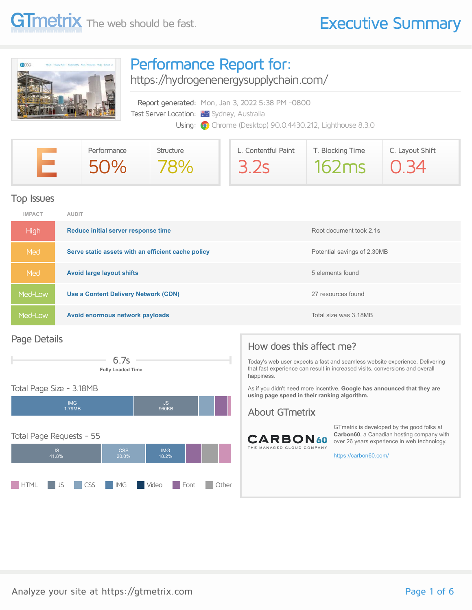

### Performance Report for:

<https://hydrogenenergysupplychain.com/>

Report generated: Mon, Jan 3, 2022 5:38 PM -0800 Test Server Location: **We Sydney, Australia** Using: **O** Chrome (Desktop) 90.0.4430.212, Lighthouse 8.3.0

| Performance | Structure | L. Contentful Paint | T. Blocking Time | C. Layout Shift |
|-------------|-----------|---------------------|------------------|-----------------|
| 50%         |           | 3.2s                | 162ms            | O 34            |

### Top Issues

| <b>IMPACT</b> | <b>AUDIT</b>                                       |                             |
|---------------|----------------------------------------------------|-----------------------------|
| <b>High</b>   | Reduce initial server response time                | Root document took 2.1s     |
| Med           | Serve static assets with an efficient cache policy | Potential savings of 2.30MB |
| Med           | <b>Avoid large layout shifts</b>                   | 5 elements found            |
| Med-Low       | Use a Content Delivery Network (CDN)               | 27 resources found          |
| Med-Low       | Avoid enormous network payloads                    | Total size was 3.18MB       |

### Page Details



### Total Page Size - 3.18MB



### How does this affect me?

Today's web user expects a fast and seamless website experience. Delivering that fast experience can result in increased visits, conversions and overall happiness.

As if you didn't need more incentive, **Google has announced that they are using page speed in their ranking algorithm.**

### About GTmetrix



GTmetrix is developed by the good folks at **Carbon60**, a Canadian hosting company with over 26 years experience in web technology.

<https://carbon60.com/>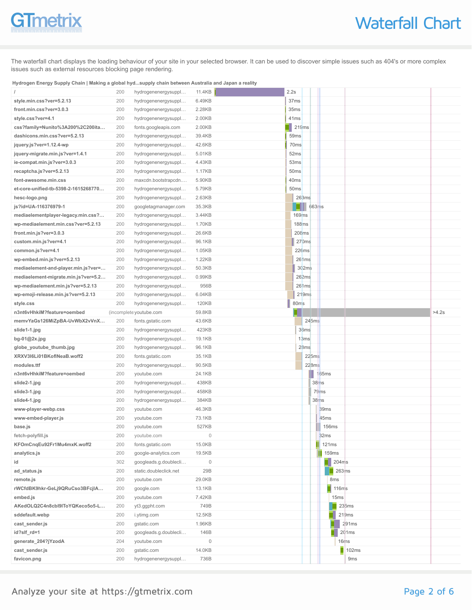# **GTmetrix**

The waterfall chart displays the loading behaviour of your site in your selected browser. It can be used to discover simple issues such as 404's or more complex issues such as external resources blocking page rendering.

#### **Hydrogen Energy Supply Chain | Making a global hyd...supply chain between Australia and Japan a reality**

|                                      | 200        | hydrogenenergysuppl                | 11.4KB         | 2.2s             |                   |                   |       |
|--------------------------------------|------------|------------------------------------|----------------|------------------|-------------------|-------------------|-------|
| style.min.css?ver=5.2.13             | 200        | hydrogenenergysuppl                | 6.49KB         | 37 <sub>ms</sub> |                   |                   |       |
| front.min.css?ver=3.0.3              | 200        | hydrogenenergysuppl                | 2.28KB         | 35ms             |                   |                   |       |
| style.css?ver=4.1                    | 200        | hydrogenenergysuppl                | 2.00KB         | 41ms             |                   |                   |       |
| css?family=Nunito%3A200%2C200ita     | 200        | fonts.googleapis.com               | 2.00KB         | ٠                | 219ms             |                   |       |
| dashicons.min.css?ver=5.2.13         | 200        | hydrogenenergysuppl                | 39.4KB         | 59 <sub>ms</sub> |                   |                   |       |
| jquery.js?ver=1.12.4-wp              | 200        | hydrogenenergysuppl                | 42.6KB         |                  | 70ms              |                   |       |
| jquery-migrate.min.js?ver=1.4.1      | 200        | hydrogenenergysuppl                | 5.01KB         |                  | 52ms              |                   |       |
| ie-compat.min.js?ver=3.0.3           | 200        | hydrogenenergysuppl                | 4.43KB         |                  | 53 <sub>ms</sub>  |                   |       |
| recaptcha.js?ver=5.2.13              | 200        | hydrogenenergysuppl                | 1.17KB         |                  | 50 <sub>ms</sub>  |                   |       |
| font-awesome.min.css                 | 200        | maxcdn.bootstrapcdn                | 5.90KB         | 40ms             |                   |                   |       |
| et-core-unified-tb-5398-2-1615268770 | 200        | hydrogenenergysuppl                | 5.79KB         |                  | 50 <sub>ms</sub>  |                   |       |
| hesc-logo.png                        | 200        | hydrogenenergysuppl                | 2.63KB         |                  | 263ms             |                   |       |
| js?id=UA-116376979-1                 | 200        | googletagmanager.com               | 35.3KB         |                  |                   | 663ms             |       |
| mediaelementplayer-legacy.min.css?   | 200        | hydrogenenergysuppl                | 3.44KB         |                  | 169ms             |                   |       |
| wp-mediaelement.min.css?ver=5.2.13   | 200        | hydrogenenergysuppl                | 1.70KB         |                  | 188ms             |                   |       |
| front.min.js?ver=3.0.3               | 200        | hydrogenenergysuppl                | 26.6KB         |                  | 208ms             |                   |       |
| custom.min.js?ver=4.1                | 200        | hydrogenenergysuppl                | 96.1KB         |                  | 270ms             |                   |       |
| common.js?ver=4.1                    | 200        | hydrogenenergysuppl                | 1.05KB         |                  | 226ms             |                   |       |
| wp-embed.min.js?ver=5.2.13           | 200        | hydrogenenergysuppl                | 1.22KB         |                  | 261ms             |                   |       |
| mediaelement-and-player.min.js?ver=  | 200        | hydrogenenergysuppl                | 50.3KB         |                  | 302ms             |                   |       |
| mediaelement-migrate.min.js?ver=5.2  | 200        | hydrogenenergysuppl                | 0.99KB         |                  | 262ms             |                   |       |
| wp-mediaelement.min.js?ver=5.2.13    | 200        | hydrogenenergysuppl                | 956B           |                  | 261ms             |                   |       |
| wp-emoji-release.min.js?ver=5.2.13   | 200        | hydrogenenergysuppl                | 6.04KB         |                  | 219ms             |                   |       |
| style.css                            | 200        | hydrogenenergysuppl                | 120KB          |                  | 80 <sub>m</sub> s |                   |       |
| n3nt6vHhkiM?feature=oembed           |            | (incomplete youtube.com            | 59.8KB         |                  |                   |                   | >4.2s |
| memvYaGs126MiZpBA-UvWbX2vVnX         | 200        | fonts.gstatic.com                  | 43.6KB         |                  | 245ms             |                   |       |
|                                      |            |                                    |                |                  |                   |                   |       |
| slide1-1.jpg                         | 200        | hydrogenenergysuppl                | 423KB          |                  | 36ms              |                   |       |
| bg-01@2x.jpg                         | 200        | hydrogenenergysuppl                | 19.1KB         |                  | 13ms              |                   |       |
| globe_youtube_thumb.jpg              | 200        | hydrogenenergysuppl                | 96.1KB         |                  | 28ms              |                   |       |
| XRXV3I6Li01BKoflNeaB.woff2           | 200        | fonts.gstatic.com                  | 35.1KB         |                  | 225ms             |                   |       |
| modules.ttf                          | 200        | hydrogenenergysuppl                | 90.5KB         |                  | 228ms             |                   |       |
| n3nt6vHhkiM?feature=oembed           | 200        | youtube.com                        | 24.1KB         |                  |                   | 165ms             |       |
| slide2-1.jpg                         | 200        | hydrogenenergysuppl                | 438KB          |                  |                   | 38 <sub>ms</sub>  |       |
| slide3-1.jpg                         | 200        | hydrogenenergysuppl                | 458KB          |                  |                   | 79ms              |       |
| slide4-1.jpg                         | 200        | hydrogenenergysuppl                | 384KB          |                  |                   | 38ms              |       |
| www-player-webp.css                  | 200        | youtube.com                        | 46.3KB         |                  |                   | 39 <sub>ms</sub>  |       |
| www-embed-player.js                  | 200        | youtube.com                        | 73.1KB         |                  |                   | 45 <sub>ms</sub>  |       |
| base.js                              | 200        | youtube.com                        | 527KB          |                  |                   | <b>156ms</b>      |       |
| fetch-polyfill.js                    | 200        | youtube.com                        | $\mathbf 0$    |                  |                   | 32ms              |       |
| KFOmCnqEu92Fr1Mu4mxK.woff2           | 200        | fonts.gstatic.com                  | 15.0KB         |                  |                   | 121ms             |       |
| analytics.js                         | 200        | google-analytics.com               | 19.5KB         |                  |                   | <b>159ms</b>      |       |
| id                                   | 302        | googleads.g.doublecli              | 0              |                  |                   | 204ms             |       |
| ad_status.js                         | 200        | static.doubleclick.net             | 29B            |                  |                   | 263ms             |       |
| remote.js                            | 200        | youtube.com                        | 29.0KB         |                  |                   | 8 <sub>ms</sub>   |       |
| rWCfdBK9hkr-GeLj9QRuCso3BFcjIA       | 200        | google.com                         | 13.1KB         |                  |                   | 116 <sub>ms</sub> |       |
| embed.js                             | 200        | youtube.com                        | 7.42KB         |                  |                   | 15ms              |       |
| AKedOLQ2C4n8cbl9lToYQKeco5o5-L       | 200        | yt3.ggpht.com                      | 749B           |                  |                   | 235ms             |       |
| sddefault.webp                       | 200        | i.ytimg.com                        | 12.5KB         |                  |                   | 219ms             |       |
| cast_sender.js                       | 200        | gstatic.com                        | 1.96KB         |                  |                   | 291ms             |       |
| id?slf_rd=1                          | 200        | googleads.g.doublecli              | 146B           |                  |                   | 201ms             |       |
| generate_204?jYzodA                  | 204        | youtube.com                        | 0              |                  |                   | 16rns             |       |
| cast_sender.js<br>favicon.png        | 200<br>200 | gstatic.com<br>hydrogenenergysuppl | 14.0KB<br>736B |                  |                   | 102ms<br>9ms      |       |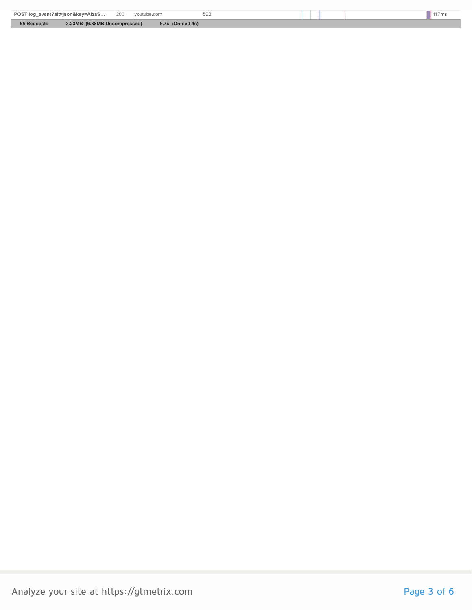| POST log_event?alt=json&key=AlzaS 200<br>50 <sub>B</sub><br>voutube.com |       |
|-------------------------------------------------------------------------|-------|
|                                                                         | 117ms |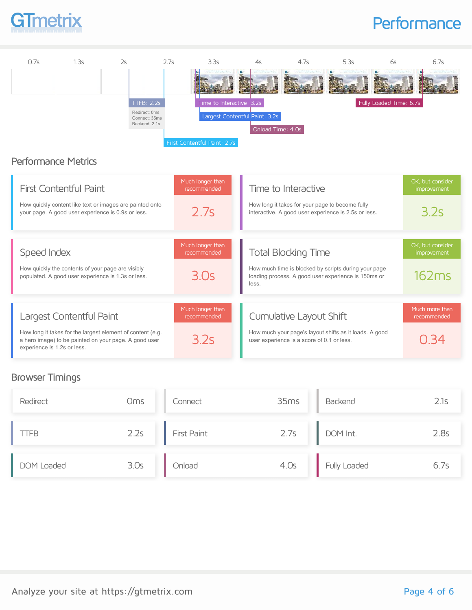

# **Performance**



### Browser Timings

| Redirect   | Oms  | Connect            | 35ms | Backend      | 2.1s |
|------------|------|--------------------|------|--------------|------|
| TFB        | 2.2s | <b>First Paint</b> | 2.7s | DOM Int.     | 2.8s |
| DOM Loaded | 3.0s | Onload             | 4.0s | Fully Loaded | 6./s |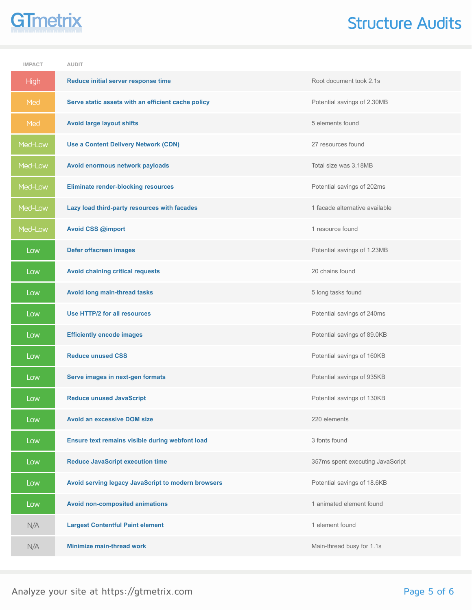# **GTmetrix**

# Structure Audits

| <b>IMPACT</b> | <b>AUDIT</b>                                       |                                  |
|---------------|----------------------------------------------------|----------------------------------|
| <b>High</b>   | Reduce initial server response time                | Root document took 2.1s          |
| Med           | Serve static assets with an efficient cache policy | Potential savings of 2.30MB      |
| Med           | <b>Avoid large layout shifts</b>                   | 5 elements found                 |
| Med-Low       | <b>Use a Content Delivery Network (CDN)</b>        | 27 resources found               |
| Med-Low       | Avoid enormous network payloads                    | Total size was 3.18MB            |
| Med-Low       | <b>Eliminate render-blocking resources</b>         | Potential savings of 202ms       |
| Med-Low       | Lazy load third-party resources with facades       | 1 facade alternative available   |
| Med-Low       | <b>Avoid CSS @import</b>                           | 1 resource found                 |
| Low           | <b>Defer offscreen images</b>                      | Potential savings of 1.23MB      |
| Low           | <b>Avoid chaining critical requests</b>            | 20 chains found                  |
| Low           | Avoid long main-thread tasks                       | 5 long tasks found               |
| Low           | Use HTTP/2 for all resources                       | Potential savings of 240ms       |
| Low           | <b>Efficiently encode images</b>                   | Potential savings of 89.0KB      |
| Low           | <b>Reduce unused CSS</b>                           | Potential savings of 160KB       |
| Low           | Serve images in next-gen formats                   | Potential savings of 935KB       |
| Low           | <b>Reduce unused JavaScript</b>                    | Potential savings of 130KB       |
| Low           | <b>Avoid an excessive DOM size</b>                 | 220 elements                     |
| Low           | Ensure text remains visible during webfont load    | 3 fonts found                    |
| Low           | <b>Reduce JavaScript execution time</b>            | 357ms spent executing JavaScript |
| Low           | Avoid serving legacy JavaScript to modern browsers | Potential savings of 18.6KB      |
| Low           | <b>Avoid non-composited animations</b>             | 1 animated element found         |
| N/A           | <b>Largest Contentful Paint element</b>            | 1 element found                  |
| N/A           | <b>Minimize main-thread work</b>                   | Main-thread busy for 1.1s        |